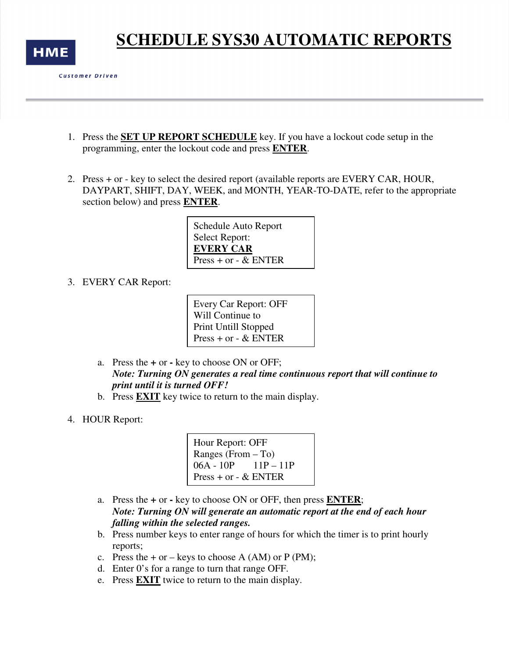

## **SCHEDULE SYS30 AUTOMATIC REPORTS**

**Customer Driven** 

- 1. Press the **SET UP REPORT SCHEDULE** key. If you have a lockout code setup in the programming, enter the lockout code and press **ENTER**.
- 2. Press + or key to select the desired report (available reports are EVERY CAR, HOUR, DAYPART, SHIFT, DAY, WEEK, and MONTH, YEAR-TO-DATE, refer to the appropriate section below) and press **ENTER**.

Schedule Auto Report Select Report: **EVERY CAR** Press + or - & ENTER

3. EVERY CAR Report:

Every Car Report: OFF Will Continue to Print Untill Stopped Press + or - & ENTER

- a. Press the **+** or **-** key to choose ON or OFF; *Note: Turning ON generates a real time continuous report that will continue to print until it is turned OFF!*
- b. Press **EXIT** key twice to return to the main display.
- 4. HOUR Report:

Hour Report: OFF Ranges (From – To) 06A - 10P 11P – 11P Press + or - & ENTER

- a. Press the **+** or **-** key to choose ON or OFF, then press **ENTER**; *Note: Turning ON will generate an automatic report at the end of each hour falling within the selected ranges.*
- b. Press number keys to enter range of hours for which the timer is to print hourly reports;
- c. Press the  $+$  or keys to choose A (AM) or P (PM);
- d. Enter 0's for a range to turn that range OFF.
- e. Press **EXIT** twice to return to the main display.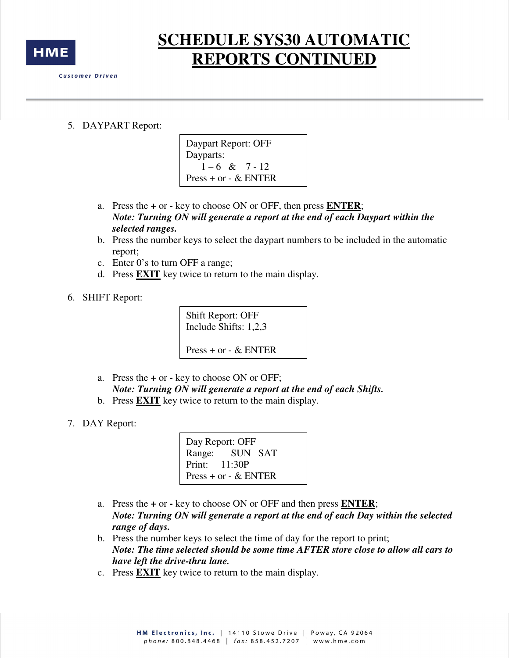

## **SCHEDULE SYS30 AUTOMATIC REPORTS CONTINUED**

- **Customer Driven** 
	- 5. DAYPART Report:

Daypart Report: OFF Dayparts:  $1 - 6 \& 7 - 12$ Press + or - & ENTER

- a. Press the **+** or **-** key to choose ON or OFF, then press **ENTER**; *Note: Turning ON will generate a report at the end of each Daypart within the selected ranges.*
- b. Press the number keys to select the daypart numbers to be included in the automatic report;
- c. Enter 0's to turn OFF a range;
- d. Press **EXIT** key twice to return to the main display.
- 6. SHIFT Report:

Shift Report: OFF Include Shifts: 1,2,3

Press + or - & ENTER

- a. Press the **+** or **-** key to choose ON or OFF; *Note: Turning ON will generate a report at the end of each Shifts.*
- b. Press **EXIT** key twice to return to the main display.
- 7. DAY Report:

Day Report: OFF Range: SUN SAT Print: 11:30P Press + or - & ENTER

- a. Press the **+** or **-** key to choose ON or OFF and then press **ENTER**; *Note: Turning ON will generate a report at the end of each Day within the selected range of days.*
- b. Press the number keys to select the time of day for the report to print; *Note: The time selected should be some time AFTER store close to allow all cars to have left the drive-thru lane.*
- c. Press **EXIT** key twice to return to the main display.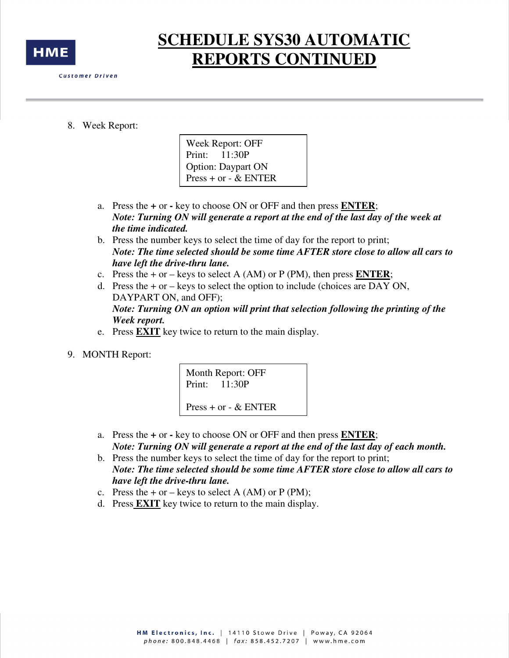

## **SCHEDULE SYS30 AUTOMATIC REPORTS CONTINUED**

**Customer Driven** 

8. Week Report:

Week Report: OFF Print: 11:30P Option: Daypart ON Press + or - & ENTER

- a. Press the **+** or **-** key to choose ON or OFF and then press **ENTER**; *Note: Turning ON will generate a report at the end of the last day of the week at the time indicated.*
- b. Press the number keys to select the time of day for the report to print; *Note: The time selected should be some time AFTER store close to allow all cars to have left the drive-thru lane.*
- c. Press the  $+$  or  $-$  keys to select A (AM) or P (PM), then press **ENTER**;
- d. Press the  $+$  or  $-$  keys to select the option to include (choices are DAY ON, DAYPART ON, and OFF); *Note: Turning ON an option will print that selection following the printing of the Week report.*
- e. Press **EXIT** key twice to return to the main display.
- 9. MONTH Report:

Month Report: OFF Print: 11:30P

Press + or - & ENTER

- a. Press the **+** or **-** key to choose ON or OFF and then press **ENTER**; *Note: Turning ON will generate a report at the end of the last day of each month.*
- b. Press the number keys to select the time of day for the report to print; *Note: The time selected should be some time AFTER store close to allow all cars to have left the drive-thru lane.*
- c. Press the  $+$  or  $-$  keys to select A (AM) or P (PM);
- d. Press **EXIT** key twice to return to the main display.